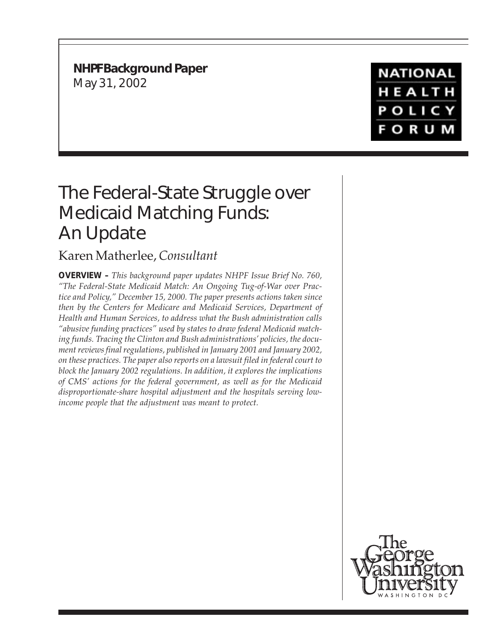**NHPF Background Paper** May 31, 2002

# **NATIONAL** HEALTH **POLICY FORUM**

# The Federal-State Struggle over Medicaid Matching Funds: An Update

# Karen Matherlee, *Consultant*

**OVERVIEW –** *This background paper updates NHPF Issue Brief No. 760, "The Federal-State Medicaid Match: An Ongoing Tug-of-War over Practice and Policy," December 15, 2000. The paper presents actions taken since then by the Centers for Medicare and Medicaid Services, Department of Health and Human Services, to address what the Bush administration calls "abusive funding practices" used by states to draw federal Medicaid matching funds. Tracing the Clinton and Bush administrations' policies, the document reviews final regulations, published in January 2001 and January 2002, on these practices. The paper also reports on a lawsuit filed in federal court to block the January 2002 regulations. In addition, it explores the implications of CMS' actions for the federal government, as well as for the Medicaid disproportionate-share hospital adjustment and the hospitals serving lowincome people that the adjustment was meant to protect.*

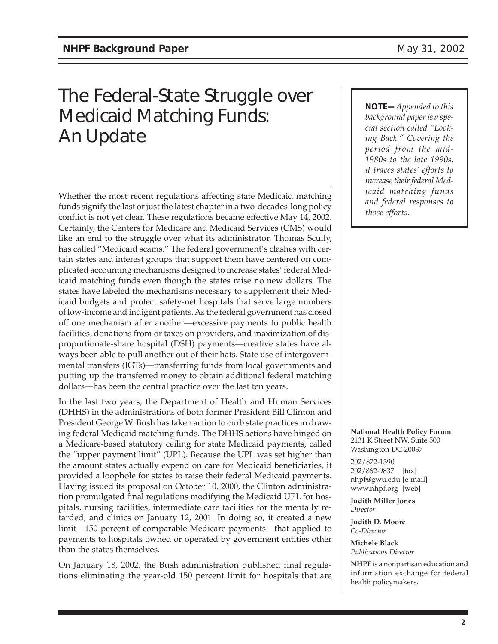# The Federal-State Struggle over Medicaid Matching Funds: An Update

Whether the most recent regulations affecting state Medicaid matching funds signify the last or just the latest chapter in a two-decades-long policy conflict is not yet clear. These regulations became effective May 14, 2002. Certainly, the Centers for Medicare and Medicaid Services (CMS) would like an end to the struggle over what its administrator, Thomas Scully, has called "Medicaid scams." The federal government's clashes with certain states and interest groups that support them have centered on complicated accounting mechanisms designed to increase states' federal Medicaid matching funds even though the states raise no new dollars. The states have labeled the mechanisms necessary to supplement their Medicaid budgets and protect safety-net hospitals that serve large numbers of low-income and indigent patients. As the federal government has closed off one mechanism after another—excessive payments to public health facilities, donations from or taxes on providers, and maximization of disproportionate-share hospital (DSH) payments—creative states have always been able to pull another out of their hats. State use of intergovernmental transfers (IGTs)—transferring funds from local governments and putting up the transferred money to obtain additional federal matching dollars—has been the central practice over the last ten years.

In the last two years, the Department of Health and Human Services (DHHS) in the administrations of both former President Bill Clinton and President George W. Bush has taken action to curb state practices in drawing federal Medicaid matching funds. The DHHS actions have hinged on a Medicare-based statutory ceiling for state Medicaid payments, called the "upper payment limit" (UPL). Because the UPL was set higher than the amount states actually expend on care for Medicaid beneficiaries, it provided a loophole for states to raise their federal Medicaid payments. Having issued its proposal on October 10, 2000, the Clinton administration promulgated final regulations modifying the Medicaid UPL for hospitals, nursing facilities, intermediate care facilities for the mentally retarded, and clinics on January 12, 2001. In doing so, it created a new limit—150 percent of comparable Medicare payments—that applied to payments to hospitals owned or operated by government entities other than the states themselves.

On January 18, 2002, the Bush administration published final regulations eliminating the year-old 150 percent limit for hospitals that are *NOTE—Appended to this background paper is a special section called "Looking Back." Covering the period from the mid-1980s to the late 1990s, it traces states' efforts to increase their federal Medicaid matching funds and federal responses to those efforts.*

**National Health Policy Forum** 2131 K Street NW, Suite 500 Washington DC 20037

202/872-1390 202/862-9837 [fax] nhpf@gwu.edu [e-mail] www.nhpf.org [web]

**Judith Miller Jones** *Director*

**Judith D. Moore** *Co-Director*

**Michele Black** *Publications Director*

**NHPF** is a nonpartisan education and information exchange for federal health policymakers.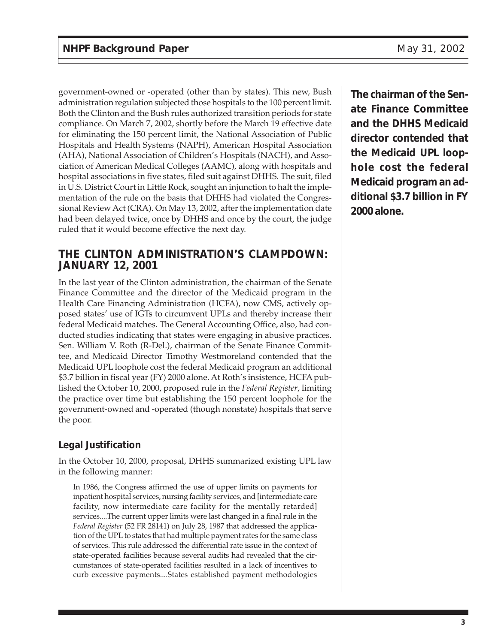government-owned or -operated (other than by states). This new, Bush administration regulation subjected those hospitals to the 100 percent limit. Both the Clinton and the Bush rules authorized transition periods for state compliance. On March 7, 2002, shortly before the March 19 effective date for eliminating the 150 percent limit, the National Association of Public Hospitals and Health Systems (NAPH), American Hospital Association (AHA), National Association of Children's Hospitals (NACH), and Association of American Medical Colleges (AAMC), along with hospitals and hospital associations in five states, filed suit against DHHS. The suit, filed in U.S. District Court in Little Rock, sought an injunction to halt the implementation of the rule on the basis that DHHS had violated the Congressional Review Act (CRA). On May 13, 2002, after the implementation date had been delayed twice, once by DHHS and once by the court, the judge ruled that it would become effective the next day.

### **THE CLINTON ADMINISTRATION'S CLAMPDOWN: JANUARY 12, 2001**

In the last year of the Clinton administration, the chairman of the Senate Finance Committee and the director of the Medicaid program in the Health Care Financing Administration (HCFA), now CMS, actively opposed states' use of IGTs to circumvent UPLs and thereby increase their federal Medicaid matches. The General Accounting Office, also, had conducted studies indicating that states were engaging in abusive practices. Sen. William V. Roth (R-Del.), chairman of the Senate Finance Committee, and Medicaid Director Timothy Westmoreland contended that the Medicaid UPL loophole cost the federal Medicaid program an additional \$3.7 billion in fiscal year (FY) 2000 alone. At Roth's insistence, HCFA published the October 10, 2000, proposed rule in the *Federal Register*, limiting the practice over time but establishing the 150 percent loophole for the government-owned and -operated (though nonstate) hospitals that serve the poor.

### **Legal Justification**

In the October 10, 2000, proposal, DHHS summarized existing UPL law in the following manner:

In 1986, the Congress affirmed the use of upper limits on payments for inpatient hospital services, nursing facility services, and [intermediate care facility, now intermediate care facility for the mentally retarded] services....The current upper limits were last changed in a final rule in the *Federal Register* (52 FR 28141) on July 28, 1987 that addressed the application of the UPL to states that had multiple payment rates for the same class of services. This rule addressed the differential rate issue in the context of state-operated facilities because several audits had revealed that the circumstances of state-operated facilities resulted in a lack of incentives to curb excessive payments....States established payment methodologies **The chairman of the Senate Finance Committee and the DHHS Medicaid director contended that the Medicaid UPL loophole cost the federal Medicaid program an additional \$3.7 billion in FY 2000 alone.**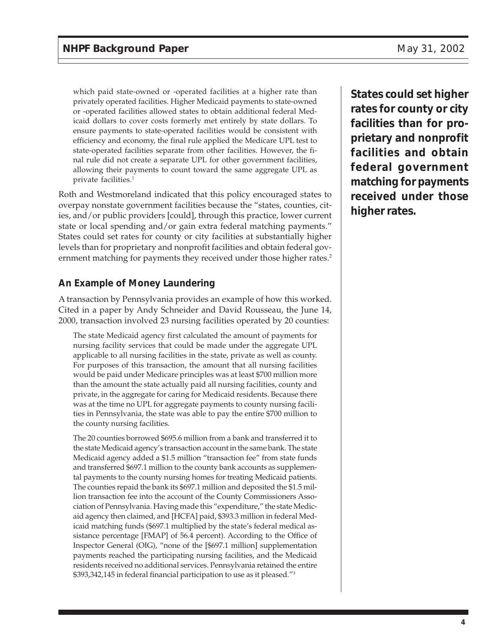which paid state-owned or -operated facilities at a higher rate than privately operated facilities. Higher Medicaid payments to state-owned or -operated facilities allowed states to obtain additional federal Medicaid dollars to cover costs formerly met entirely by state dollars. To ensure payments to state-operated facilities would be consistent with efficiency and economy, the final rule applied the Medicare UPL test to state-operated facilities separate from other facilities. However, the final rule did not create a separate UPL for other government facilities, allowing their payments to count toward the same aggregate UPL as private facilities.1

Roth and Westmoreland indicated that this policy encouraged states to overpay nonstate government facilities because the "states, counties, cities, and/or public providers [could], through this practice, lower current state or local spending and/or gain extra federal matching payments." States could set rates for county or city facilities at substantially higher levels than for proprietary and nonprofit facilities and obtain federal government matching for payments they received under those higher rates.<sup>2</sup>

#### **An Example of Money Laundering**

A transaction by Pennsylvania provides an example of how this worked. Cited in a paper by Andy Schneider and David Rousseau, the June 14, 2000, transaction involved 23 nursing facilities operated by 20 counties:

The state Medicaid agency first calculated the amount of payments for nursing facility services that could be made under the aggregate UPL applicable to all nursing facilities in the state, private as well as county. For purposes of this transaction, the amount that all nursing facilities would be paid under Medicare principles was at least \$700 million more than the amount the state actually paid all nursing facilities, county and private, in the aggregate for caring for Medicaid residents. Because there was at the time no UPL for aggregate payments to county nursing facilities in Pennsylvania, the state was able to pay the entire \$700 million to the county nursing facilities.

The 20 counties borrowed \$695.6 million from a bank and transferred it to the state Medicaid agency's transaction account in the same bank. The state Medicaid agency added a \$1.5 million "transaction fee" from state funds and transferred \$697.1 million to the county bank accounts as supplemental payments to the county nursing homes for treating Medicaid patients. The counties repaid the bank its \$697.1 million and deposited the \$1.5 million transaction fee into the account of the County Commissioners Association of Pennsylvania. Having made this "expenditure," the state Medicaid agency then claimed, and [HCFA] paid, \$393.3 million in federal Medicaid matching funds (\$697.1 multiplied by the state's federal medical assistance percentage [FMAP] of 56.4 percent). According to the Office of Inspector General (OIG), "none of the [\$697.1 million] supplementation payments reached the participating nursing facilities, and the Medicaid residents received no additional services. Pennsylvania retained the entire \$393,342,145 in federal financial participation to use as it pleased."3

**States could set higher rates for county or city facilities than for proprietary and nonprofit facilities and obtain federal government matching for payments received under those higher rates.**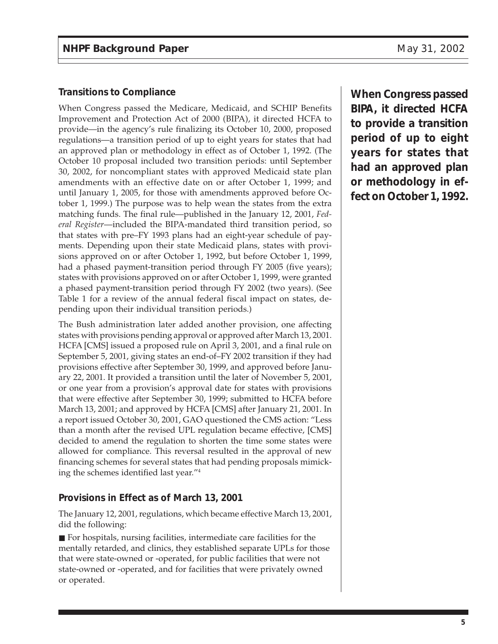#### **Transitions to Compliance**

When Congress passed the Medicare, Medicaid, and SCHIP Benefits Improvement and Protection Act of 2000 (BIPA), it directed HCFA to provide—in the agency's rule finalizing its October 10, 2000, proposed regulations—a transition period of up to eight years for states that had an approved plan or methodology in effect as of October 1, 1992. (The October 10 proposal included two transition periods: until September 30, 2002, for noncompliant states with approved Medicaid state plan amendments with an effective date on or after October 1, 1999; and until January 1, 2005, for those with amendments approved before October 1, 1999.) The purpose was to help wean the states from the extra matching funds. The final rule—published in the January 12, 2001, *Federal Register*—included the BIPA-mandated third transition period, so that states with pre–FY 1993 plans had an eight-year schedule of payments. Depending upon their state Medicaid plans, states with provisions approved on or after October 1, 1992, but before October 1, 1999, had a phased payment-transition period through FY 2005 (five years); states with provisions approved on or after October 1, 1999, were granted a phased payment-transition period through FY 2002 (two years). (See Table 1 for a review of the annual federal fiscal impact on states, depending upon their individual transition periods.)

The Bush administration later added another provision, one affecting states with provisions pending approval or approved after March 13, 2001. HCFA [CMS] issued a proposed rule on April 3, 2001, and a final rule on September 5, 2001, giving states an end-of–FY 2002 transition if they had provisions effective after September 30, 1999, and approved before January 22, 2001. It provided a transition until the later of November 5, 2001, or one year from a provision's approval date for states with provisions that were effective after September 30, 1999; submitted to HCFA before March 13, 2001; and approved by HCFA [CMS] after January 21, 2001. In a report issued October 30, 2001, GAO questioned the CMS action: "Less than a month after the revised UPL regulation became effective, [CMS] decided to amend the regulation to shorten the time some states were allowed for compliance. This reversal resulted in the approval of new financing schemes for several states that had pending proposals mimicking the schemes identified last year."4

#### **Provisions in Effect as of March 13, 2001**

The January 12, 2001, regulations, which became effective March 13, 2001, did the following:

■ For hospitals, nursing facilities, intermediate care facilities for the mentally retarded, and clinics, they established separate UPLs for those that were state-owned or -operated, for public facilities that were not state-owned or -operated, and for facilities that were privately owned or operated.

**When Congress passed BIPA, it directed HCFA to provide a transition period of up to eight years for states that had an approved plan or methodology in effect on October 1, 1992.**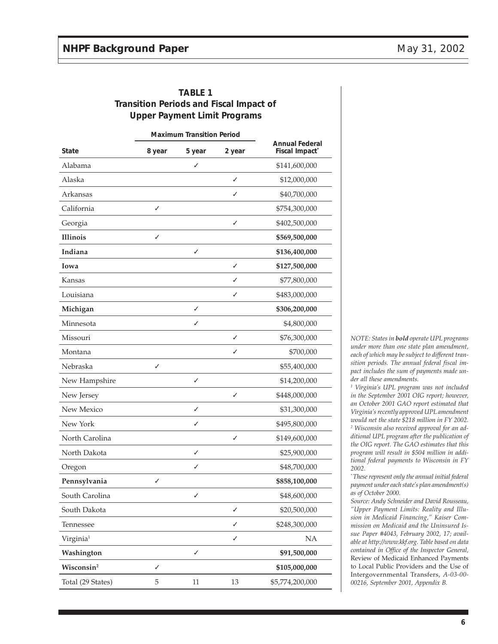|                        | <b>Maximum Transition Period</b> |              |        |                                                     |
|------------------------|----------------------------------|--------------|--------|-----------------------------------------------------|
| State                  | 8 year                           | 5 year       | 2 year | <b>Annual Federal</b><br>Fiscal Impact <sup>*</sup> |
| Alabama                |                                  | ✓            |        | \$141,600,000                                       |
| Alaska                 |                                  |              | ✓      | \$12,000,000                                        |
| Arkansas               |                                  |              | ✓      | \$40,700,000                                        |
| California             | ✓                                |              |        | \$754,300,000                                       |
| Georgia                |                                  |              | ✓      | \$402,500,000                                       |
| <b>Illinois</b>        | ✓                                |              |        | \$569,500,000                                       |
| Indiana                |                                  | ✓            |        | \$136,400,000                                       |
| Iowa                   |                                  |              | ✓      | \$127,500,000                                       |
| Kansas                 |                                  |              | ✓      | \$77,800,000                                        |
| Louisiana              |                                  |              | ✓      | \$483,000,000                                       |
| Michigan               |                                  | ✓            |        | \$306,200,000                                       |
| Minnesota              |                                  | ✓            |        | \$4,800,000                                         |
| Missouri               |                                  |              | ✓      | \$76,300,000                                        |
| Montana                |                                  |              | ✓      | \$700,000                                           |
| Nebraska               | ✓                                |              |        | \$55,400,000                                        |
| New Hampshire          |                                  | $\checkmark$ |        | \$14,200,000                                        |
| New Jersey             |                                  |              | ✓      | \$448,000,000                                       |
| New Mexico             |                                  | ✓            |        | \$31,300,000                                        |
| New York               |                                  | ✓            |        | \$495,800,000                                       |
| North Carolina         |                                  |              | ✓      | \$149,600,000                                       |
| North Dakota           |                                  | ✓            |        | \$25,900,000                                        |
| Oregon                 |                                  | ✓            |        | \$48,700,000                                        |
| Pennsylvania           | ✓                                |              |        | \$858,100,000                                       |
| South Carolina         |                                  | ✓            |        | \$48,600,000                                        |
| South Dakota           |                                  |              | ✓      | \$20,500,000                                        |
| Tennessee              |                                  |              | ✓      | \$248,300,000                                       |
| Virginia <sup>1</sup>  |                                  |              | ✓      | NA                                                  |
| Washington             |                                  | ✓            |        | \$91,500,000                                        |
| Wisconsin <sup>2</sup> | √                                |              |        | \$105,000,000                                       |
| Total (29 States)      | 5                                | 11           | 13     | \$5,774,200,000                                     |

| <b>TABLE 1</b>                                 |
|------------------------------------------------|
| <b>Transition Periods and Fiscal Impact of</b> |
| <b>Upper Payment Limit Programs</b>            |

*NOTE: States in bold operate UPL programs under more than one state plan amendment, each of which may be subject to different transition periods. The annual federal fiscal impact includes the sum of payments made under all these amendments.*

*1 Virginia's UPL program was not included in the September 2001 OIG report; however, an October 2001 GAO report estimated that Virginia's recently approved UPL amendment would net the state \$218 million in FY 2002. 2 Wisconsin also received approval for an additional UPL program after the publication of the OIG report. The GAO estimates that this program will result in \$504 million in additional federal payments to Wisconsin in FY 2002.*

*\* These represent only the annual initial federal payment under each state's plan amendment(s) as of October 2000.*

*Source: Andy Schneider and David Rousseau, "Upper Payment Limits: Reality and Illusion in Medicaid Financing," Kaiser Commission on Medicaid and the Uninsured Issue Paper #4043, February 2002, 17; available at http://www.kkf.org. Table based on data contained in Office of the Inspector General,* Review of Medicaid Enhanced Payments to Local Public Providers and the Use of Intergovernmental Transfers, *A-03-00- 00216, September 2001, Appendix B.*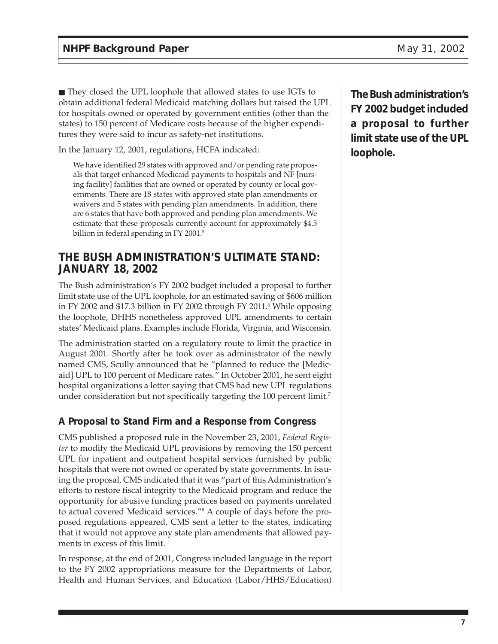■ They closed the UPL loophole that allowed states to use IGTs to obtain additional federal Medicaid matching dollars but raised the UPL for hospitals owned or operated by government entities (other than the states) to 150 percent of Medicare costs because of the higher expenditures they were said to incur as safety-net institutions.

In the January 12, 2001, regulations, HCFA indicated:

We have identified 29 states with approved and/or pending rate proposals that target enhanced Medicaid payments to hospitals and NF [nursing facility] facilities that are owned or operated by county or local governments. There are 18 states with approved state plan amendments or waivers and 5 states with pending plan amendments. In addition, there are 6 states that have both approved and pending plan amendments. We estimate that these proposals currently account for approximately \$4.5 billion in federal spending in FY 2001.<sup>5</sup>

### **THE BUSH ADMINISTRATION'S ULTIMATE STAND: JANUARY 18, 2002**

The Bush administration's FY 2002 budget included a proposal to further limit state use of the UPL loophole, for an estimated saving of \$606 million in FY 2002 and \$17.3 billion in FY 2002 through FY 2011.6 While opposing the loophole, DHHS nonetheless approved UPL amendments to certain states' Medicaid plans. Examples include Florida, Virginia, and Wisconsin.

The administration started on a regulatory route to limit the practice in August 2001. Shortly after he took over as administrator of the newly named CMS, Scully announced that he "planned to reduce the [Medicaid] UPL to 100 percent of Medicare rates." In October 2001, he sent eight hospital organizations a letter saying that CMS had new UPL regulations under consideration but not specifically targeting the 100 percent limit.<sup>7</sup>

#### **A Proposal to Stand Firm and a Response from Congress**

CMS published a proposed rule in the November 23, 2001, *Federal Register* to modify the Medicaid UPL provisions by removing the 150 percent UPL for inpatient and outpatient hospital services furnished by public hospitals that were not owned or operated by state governments. In issuing the proposal, CMS indicated that it was "part of this Administration's efforts to restore fiscal integrity to the Medicaid program and reduce the opportunity for abusive funding practices based on payments unrelated to actual covered Medicaid services."8 A couple of days before the proposed regulations appeared, CMS sent a letter to the states, indicating that it would not approve any state plan amendments that allowed payments in excess of this limit.

In response, at the end of 2001, Congress included language in the report to the FY 2002 appropriations measure for the Departments of Labor, Health and Human Services, and Education (Labor/HHS/Education)

**The Bush administration's FY 2002 budget included a proposal to further limit state use of the UPL loophole.**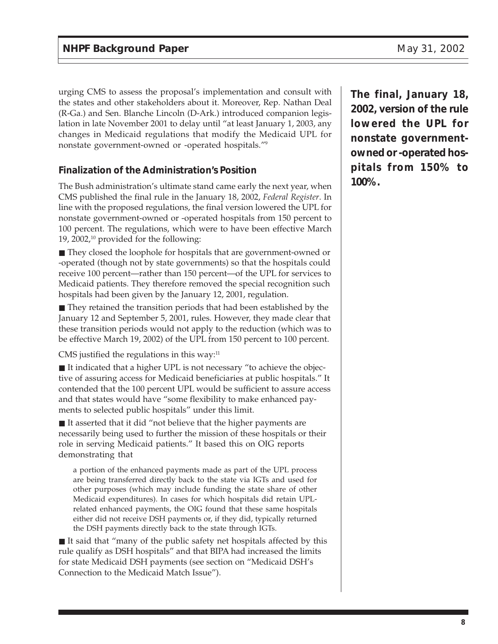urging CMS to assess the proposal's implementation and consult with the states and other stakeholders about it. Moreover, Rep. Nathan Deal (R-Ga.) and Sen. Blanche Lincoln (D-Ark.) introduced companion legislation in late November 2001 to delay until "at least January 1, 2003, any changes in Medicaid regulations that modify the Medicaid UPL for nonstate government-owned or -operated hospitals."9

#### **Finalization of the Administration's Position**

The Bush administration's ultimate stand came early the next year, when CMS published the final rule in the January 18, 2002, *Federal Register*. In line with the proposed regulations, the final version lowered the UPL for nonstate government-owned or -operated hospitals from 150 percent to 100 percent. The regulations, which were to have been effective March 19, 2002, $^{10}$  provided for the following:

■ They closed the loophole for hospitals that are government-owned or -operated (though not by state governments) so that the hospitals could receive 100 percent—rather than 150 percent—of the UPL for services to Medicaid patients. They therefore removed the special recognition such hospitals had been given by the January 12, 2001, regulation.

■ They retained the transition periods that had been established by the January 12 and September 5, 2001, rules. However, they made clear that these transition periods would not apply to the reduction (which was to be effective March 19, 2002) of the UPL from 150 percent to 100 percent.

CMS justified the regulations in this way: $11$ 

■ It indicated that a higher UPL is not necessary "to achieve the objective of assuring access for Medicaid beneficiaries at public hospitals." It contended that the 100 percent UPL would be sufficient to assure access and that states would have "some flexibility to make enhanced payments to selected public hospitals" under this limit.

■ It asserted that it did "not believe that the higher payments are necessarily being used to further the mission of these hospitals or their role in serving Medicaid patients." It based this on OIG reports demonstrating that

a portion of the enhanced payments made as part of the UPL process are being transferred directly back to the state via IGTs and used for other purposes (which may include funding the state share of other Medicaid expenditures). In cases for which hospitals did retain UPLrelated enhanced payments, the OIG found that these same hospitals either did not receive DSH payments or, if they did, typically returned the DSH payments directly back to the state through IGTs.

■ It said that "many of the public safety net hospitals affected by this rule qualify as DSH hospitals" and that BIPA had increased the limits for state Medicaid DSH payments (see section on "Medicaid DSH's Connection to the Medicaid Match Issue").

**The final, January 18, 2002, version of the rule lowered the UPL for nonstate governmentowned or -operated hospitals from 150% to 100%.**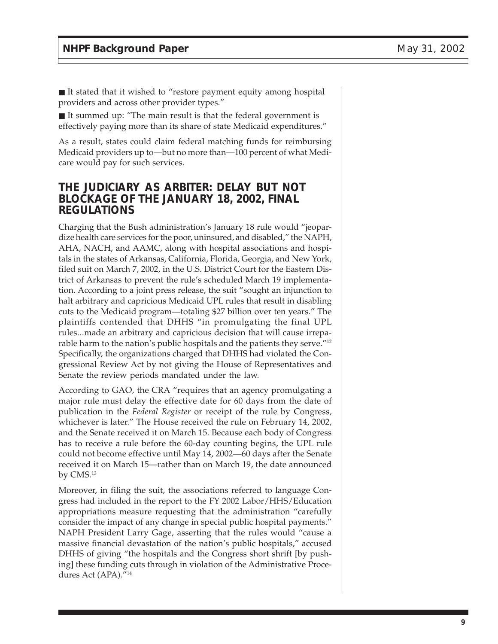■ It stated that it wished to "restore payment equity among hospital providers and across other provider types."

■ It summed up: "The main result is that the federal government is effectively paying more than its share of state Medicaid expenditures."

As a result, states could claim federal matching funds for reimbursing Medicaid providers up to—but no more than—100 percent of what Medicare would pay for such services.

#### **THE JUDICIARY AS ARBITER: DELAY BUT NOT BLOCKAGE OF THE JANUARY 18, 2002, FINAL REGULATIONS**

Charging that the Bush administration's January 18 rule would "jeopardize health care services for the poor, uninsured, and disabled," the NAPH, AHA, NACH, and AAMC, along with hospital associations and hospitals in the states of Arkansas, California, Florida, Georgia, and New York, filed suit on March 7, 2002, in the U.S. District Court for the Eastern District of Arkansas to prevent the rule's scheduled March 19 implementation. According to a joint press release, the suit "sought an injunction to halt arbitrary and capricious Medicaid UPL rules that result in disabling cuts to the Medicaid program—totaling \$27 billion over ten years." The plaintiffs contended that DHHS "in promulgating the final UPL rules...made an arbitrary and capricious decision that will cause irreparable harm to the nation's public hospitals and the patients they serve."12 Specifically, the organizations charged that DHHS had violated the Congressional Review Act by not giving the House of Representatives and Senate the review periods mandated under the law.

According to GAO, the CRA "requires that an agency promulgating a major rule must delay the effective date for 60 days from the date of publication in the *Federal Register* or receipt of the rule by Congress, whichever is later." The House received the rule on February 14, 2002, and the Senate received it on March 15. Because each body of Congress has to receive a rule before the 60-day counting begins, the UPL rule could not become effective until May 14, 2002—60 days after the Senate received it on March 15—rather than on March 19, the date announced by CMS.13

Moreover, in filing the suit, the associations referred to language Congress had included in the report to the FY 2002 Labor/HHS/Education appropriations measure requesting that the administration "carefully consider the impact of any change in special public hospital payments." NAPH President Larry Gage, asserting that the rules would "cause a massive financial devastation of the nation's public hospitals," accused DHHS of giving "the hospitals and the Congress short shrift [by pushing] these funding cuts through in violation of the Administrative Procedures Act (APA)."14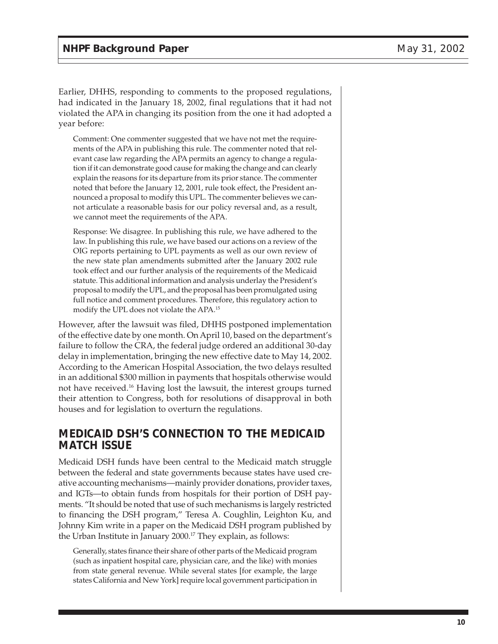Earlier, DHHS, responding to comments to the proposed regulations, had indicated in the January 18, 2002, final regulations that it had not violated the APA in changing its position from the one it had adopted a year before:

Comment: One commenter suggested that we have not met the requirements of the APA in publishing this rule. The commenter noted that relevant case law regarding the APA permits an agency to change a regulation if it can demonstrate good cause for making the change and can clearly explain the reasons for its departure from its prior stance. The commenter noted that before the January 12, 2001, rule took effect, the President announced a proposal to modify this UPL. The commenter believes we cannot articulate a reasonable basis for our policy reversal and, as a result, we cannot meet the requirements of the APA.

Response: We disagree. In publishing this rule, we have adhered to the law. In publishing this rule, we have based our actions on a review of the OIG reports pertaining to UPL payments as well as our own review of the new state plan amendments submitted after the January 2002 rule took effect and our further analysis of the requirements of the Medicaid statute. This additional information and analysis underlay the President's proposal to modify the UPL, and the proposal has been promulgated using full notice and comment procedures. Therefore, this regulatory action to modify the UPL does not violate the APA.15

However, after the lawsuit was filed, DHHS postponed implementation of the effective date by one month. On April 10, based on the department's failure to follow the CRA, the federal judge ordered an additional 30-day delay in implementation, bringing the new effective date to May 14, 2002. According to the American Hospital Association, the two delays resulted in an additional \$300 million in payments that hospitals otherwise would not have received.16 Having lost the lawsuit, the interest groups turned their attention to Congress, both for resolutions of disapproval in both houses and for legislation to overturn the regulations.

#### **MEDICAID DSH'S CONNECTION TO THE MEDICAID MATCH ISSUE**

Medicaid DSH funds have been central to the Medicaid match struggle between the federal and state governments because states have used creative accounting mechanisms—mainly provider donations, provider taxes, and IGTs—to obtain funds from hospitals for their portion of DSH payments. "It should be noted that use of such mechanisms is largely restricted to financing the DSH program," Teresa A. Coughlin, Leighton Ku, and Johnny Kim write in a paper on the Medicaid DSH program published by the Urban Institute in January 2000.<sup>17</sup> They explain, as follows:

Generally, states finance their share of other parts of the Medicaid program (such as inpatient hospital care, physician care, and the like) with monies from state general revenue. While several states [for example, the large states California and New York] require local government participation in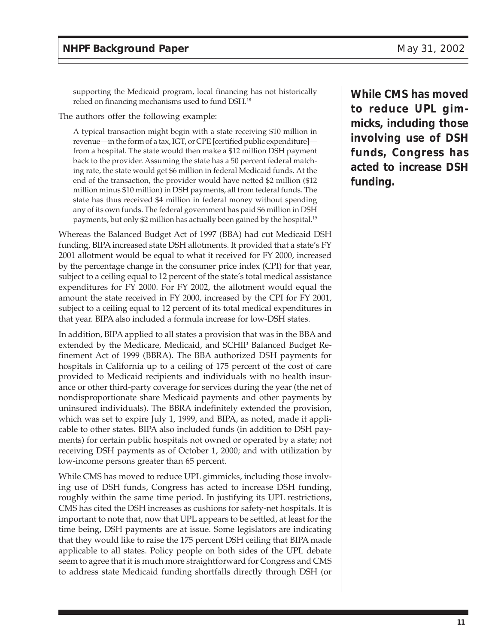supporting the Medicaid program, local financing has not historically relied on financing mechanisms used to fund DSH.18

The authors offer the following example:

A typical transaction might begin with a state receiving \$10 million in revenue—in the form of a tax, IGT, or CPE [certified public expenditure] from a hospital. The state would then make a \$12 million DSH payment back to the provider. Assuming the state has a 50 percent federal matching rate, the state would get \$6 million in federal Medicaid funds. At the end of the transaction, the provider would have netted \$2 million (\$12 million minus \$10 million) in DSH payments, all from federal funds. The state has thus received \$4 million in federal money without spending any of its own funds. The federal government has paid \$6 million in DSH payments, but only \$2 million has actually been gained by the hospital.19

Whereas the Balanced Budget Act of 1997 (BBA) had cut Medicaid DSH funding, BIPA increased state DSH allotments. It provided that a state's FY 2001 allotment would be equal to what it received for FY 2000, increased by the percentage change in the consumer price index (CPI) for that year, subject to a ceiling equal to 12 percent of the state's total medical assistance expenditures for FY 2000. For FY 2002, the allotment would equal the amount the state received in FY 2000, increased by the CPI for FY 2001, subject to a ceiling equal to 12 percent of its total medical expenditures in that year. BIPA also included a formula increase for low-DSH states.

In addition, BIPA applied to all states a provision that was in the BBA and extended by the Medicare, Medicaid, and SCHIP Balanced Budget Refinement Act of 1999 (BBRA). The BBA authorized DSH payments for hospitals in California up to a ceiling of 175 percent of the cost of care provided to Medicaid recipients and individuals with no health insurance or other third-party coverage for services during the year (the net of nondisproportionate share Medicaid payments and other payments by uninsured individuals). The BBRA indefinitely extended the provision, which was set to expire July 1, 1999, and BIPA, as noted, made it applicable to other states. BIPA also included funds (in addition to DSH payments) for certain public hospitals not owned or operated by a state; not receiving DSH payments as of October 1, 2000; and with utilization by low-income persons greater than 65 percent.

While CMS has moved to reduce UPL gimmicks, including those involving use of DSH funds, Congress has acted to increase DSH funding, roughly within the same time period. In justifying its UPL restrictions, CMS has cited the DSH increases as cushions for safety-net hospitals. It is important to note that, now that UPL appears to be settled, at least for the time being, DSH payments are at issue. Some legislators are indicating that they would like to raise the 175 percent DSH ceiling that BIPA made applicable to all states. Policy people on both sides of the UPL debate seem to agree that it is much more straightforward for Congress and CMS to address state Medicaid funding shortfalls directly through DSH (or

**While CMS has moved to reduce UPL gimmicks, including those involving use of DSH funds, Congress has acted to increase DSH funding.**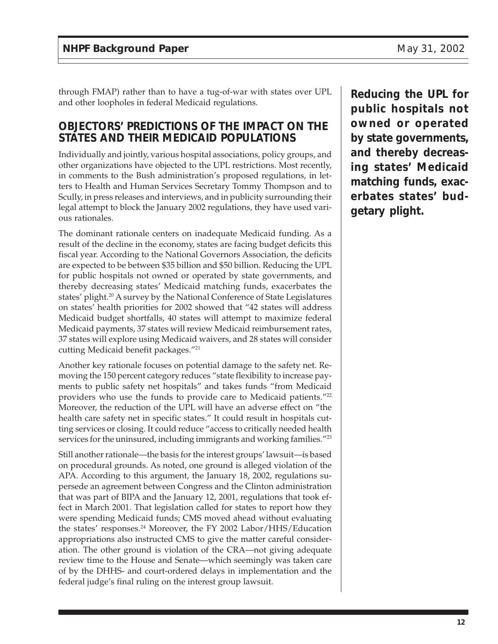through FMAP) rather than to have a tug-of-war with states over UPL and other loopholes in federal Medicaid regulations.

#### **OBJECTORS' PREDICTIONS OF THE IMPACT ON THE STATES AND THEIR MEDICAID POPULATIONS**

Individually and jointly, various hospital associations, policy groups, and other organizations have objected to the UPL restrictions. Most recently, in comments to the Bush administration's proposed regulations, in letters to Health and Human Services Secretary Tommy Thompson and to Scully, in press releases and interviews, and in publicity surrounding their legal attempt to block the January 2002 regulations, they have used various rationales.

The dominant rationale centers on inadequate Medicaid funding. As a result of the decline in the economy, states are facing budget deficits this fiscal year. According to the National Governors Association, the deficits are expected to be between \$35 billion and \$50 billion. Reducing the UPL for public hospitals not owned or operated by state governments, and thereby decreasing states' Medicaid matching funds, exacerbates the states' plight.<sup>20</sup> A survey by the National Conference of State Legislatures on states' health priorities for 2002 showed that "42 states will address Medicaid budget shortfalls, 40 states will attempt to maximize federal Medicaid payments, 37 states will review Medicaid reimbursement rates, 37 states will explore using Medicaid waivers, and 28 states will consider cutting Medicaid benefit packages."21

Another key rationale focuses on potential damage to the safety net. Removing the 150 percent category reduces "state flexibility to increase payments to public safety net hospitals" and takes funds "from Medicaid providers who use the funds to provide care to Medicaid patients."<sup>22</sup> Moreover, the reduction of the UPL will have an adverse effect on "the health care safety net in specific states." It could result in hospitals cutting services or closing. It could reduce "access to critically needed health services for the uninsured, including immigrants and working families."<sup>23</sup>

Still another rationale—the basis for the interest groups' lawsuit—is based on procedural grounds. As noted, one ground is alleged violation of the APA. According to this argument, the January 18, 2002, regulations supersede an agreement between Congress and the Clinton administration that was part of BIPA and the January 12, 2001, regulations that took effect in March 2001. That legislation called for states to report how they were spending Medicaid funds; CMS moved ahead without evaluating the states' responses.24 Moreover, the FY 2002 Labor/HHS/Education appropriations also instructed CMS to give the matter careful consideration. The other ground is violation of the CRA—not giving adequate review time to the House and Senate—which seemingly was taken care of by the DHHS- and court-ordered delays in implementation and the federal judge's final ruling on the interest group lawsuit.

**Reducing the UPL for public hospitals not owned or operated by state governments, and thereby decreasing states' Medicaid matching funds, exacerbates states' budgetary plight.**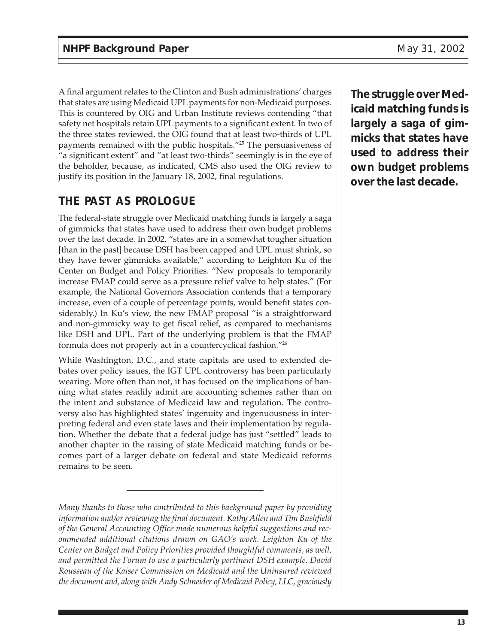A final argument relates to the Clinton and Bush administrations' charges that states are using Medicaid UPL payments for non-Medicaid purposes. This is countered by OIG and Urban Institute reviews contending "that safety net hospitals retain UPL payments to a significant extent. In two of the three states reviewed, the OIG found that at least two-thirds of UPL payments remained with the public hospitals."25 The persuasiveness of "a significant extent" and "at least two-thirds" seemingly is in the eye of the beholder, because, as indicated, CMS also used the OIG review to justify its position in the January 18, 2002, final regulations.

## **THE PAST AS PROLOGUE**

The federal-state struggle over Medicaid matching funds is largely a saga of gimmicks that states have used to address their own budget problems over the last decade. In 2002, "states are in a somewhat tougher situation [than in the past] because DSH has been capped and UPL must shrink, so they have fewer gimmicks available," according to Leighton Ku of the Center on Budget and Policy Priorities. "New proposals to temporarily increase FMAP could serve as a pressure relief valve to help states." (For example, the National Governors Association contends that a temporary increase, even of a couple of percentage points, would benefit states considerably.) In Ku's view, the new FMAP proposal "is a straightforward and non-gimmicky way to get fiscal relief, as compared to mechanisms like DSH and UPL. Part of the underlying problem is that the FMAP formula does not properly act in a countercyclical fashion."26

While Washington, D.C., and state capitals are used to extended debates over policy issues, the IGT UPL controversy has been particularly wearing. More often than not, it has focused on the implications of banning what states readily admit are accounting schemes rather than on the intent and substance of Medicaid law and regulation. The controversy also has highlighted states' ingenuity and ingenuousness in interpreting federal and even state laws and their implementation by regulation. Whether the debate that a federal judge has just "settled" leads to another chapter in the raising of state Medicaid matching funds or becomes part of a larger debate on federal and state Medicaid reforms remains to be seen.

\_\_\_\_\_\_\_\_\_\_\_\_\_\_\_\_\_\_\_\_\_\_\_\_\_\_\_\_

**The struggle over Medicaid matching funds is largely a saga of gimmicks that states have used to address their own budget problems over the last decade.**

*Many thanks to those who contributed to this background paper by providing information and/or reviewing the final document. Kathy Allen and Tim Bushfield of the General Accounting Office made numerous helpful suggestions and recommended additional citations drawn on GAO's work. Leighton Ku of the Center on Budget and Policy Priorities provided thoughtful comments, as well, and permitted the Forum to use a particularly pertinent DSH example. David Rousseau of the Kaiser Commission on Medicaid and the Uninsured reviewed the document and, along with Andy Schneider of Medicaid Policy, LLC, graciously*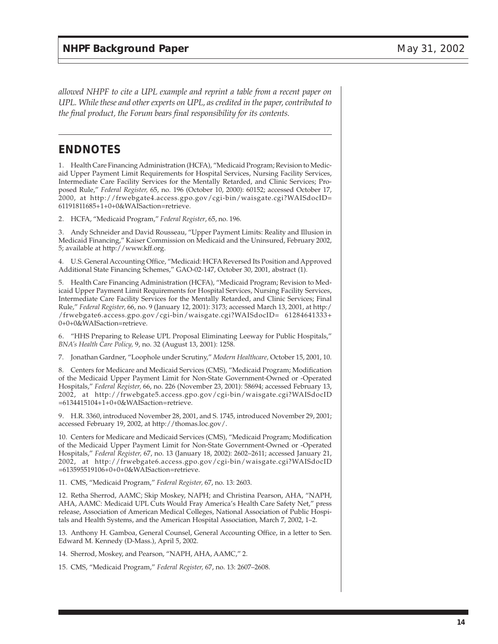*allowed NHPF to cite a UPL example and reprint a table from a recent paper on UPL. While these and other experts on UPL, as credited in the paper, contributed to the final product, the Forum bears final responsibility for its contents.*

#### **ENDNOTES**

1. Health Care Financing Administration (HCFA), "Medicaid Program; Revision to Medicaid Upper Payment Limit Requirements for Hospital Services, Nursing Facility Services, Intermediate Care Facility Services for the Mentally Retarded, and Clinic Services; Proposed Rule," *Federal Register,* 65, no. 196 (October 10, 2000): 60152; accessed October 17, 2000, at http://frwebgate4.access.gpo.gov/cgi-bin/waisgate.cgi?WAISdocID= 61191811685+1+0+0&WAISaction=retrieve.

2. HCFA, "Medicaid Program," *Federal Register*, 65, no. 196.

3. Andy Schneider and David Rousseau, "Upper Payment Limits: Reality and Illusion in Medicaid Financing," Kaiser Commission on Medicaid and the Uninsured, February 2002, 5; available at http://www.kff.org.

4. U.S. General Accounting Office, "Medicaid: HCFA Reversed Its Position and Approved Additional State Financing Schemes," GAO-02-147, October 30, 2001, abstract (1).

5. Health Care Financing Administration (HCFA), "Medicaid Program; Revision to Medicaid Upper Payment Limit Requirements for Hospital Services, Nursing Facility Services, Intermediate Care Facility Services for the Mentally Retarded, and Clinic Services; Final Rule," *Federal Register,* 66, no. 9 (January 12, 2001): 3173; accessed March 13, 2001, at http:/ /frwebgate6.access.gpo.gov/cgi-bin/waisgate.cgi?WAISdocID= 61284641333+ 0+0+0&WAISaction=retrieve.

6. "HHS Preparing to Release UPL Proposal Eliminating Leeway for Public Hospitals," *BNA's Health Care Policy,* 9, no. 32 (August 13, 2001): 1258.

7. Jonathan Gardner, "Loophole under Scrutiny," *Modern Healthcare,* October 15, 2001, 10.

8. Centers for Medicare and Medicaid Services (CMS), "Medicaid Program; Modification of the Medicaid Upper Payment Limit for Non-State Government-Owned or -Operated Hospitals," *Federal Register,* 66, no. 226 (November 23, 2001): 58694; accessed February 13, 2002, at http://frwebgate5.access.gpo.gov/cgi-bin/waisgate.cgi?WAISdocID =6134415104+1+0+0&WAISaction=retrieve.

9. H.R. 3360, introduced November 28, 2001, and S. 1745, introduced November 29, 2001; accessed February 19, 2002, at http://thomas.loc.gov/.

10. Centers for Medicare and Medicaid Services (CMS), "Medicaid Program; Modification of the Medicaid Upper Payment Limit for Non-State Government-Owned or -Operated Hospitals," *Federal Register,* 67, no. 13 (January 18, 2002): 2602–2611; accessed January 21, 2002, at http://frwebgate6.access.gpo.gov/cgi-bin/waisgate.cgi?WAISdocID =613595519106+0+0+0&WAISaction=retrieve.

11. CMS, "Medicaid Program," *Federal Register,* 67, no. 13: 2603.

12. Retha Sherrod, AAMC; Skip Moskey, NAPH; and Christina Pearson, AHA, "NAPH, AHA, AAMC: Medicaid UPL Cuts Would Fray America's Health Care Safety Net," press release, Association of American Medical Colleges, National Association of Public Hospitals and Health Systems, and the American Hospital Association, March 7, 2002, 1–2.

13. Anthony H. Gamboa, General Counsel, General Accounting Office, in a letter to Sen. Edward M. Kennedy (D-Mass.), April 5, 2002.

14. Sherrod, Moskey, and Pearson, "NAPH, AHA, AAMC," 2.

15. CMS, "Medicaid Program," *Federal Register,* 67, no. 13: 2607–2608.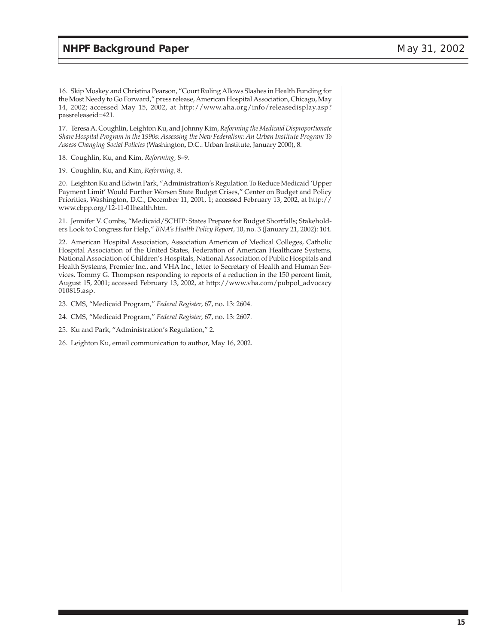16. Skip Moskey and Christina Pearson, "Court Ruling Allows Slashes in Health Funding for the Most Needy to Go Forward," press release, American Hospital Association, Chicago, May 14, 2002; accessed May 15, 2002, at http://www.aha.org/info/releasedisplay.asp? passreleaseid=421.

17. Teresa A. Coughlin, Leighton Ku, and Johnny Kim, *Reforming the Medicaid Disproportionate Share Hospital Program in the 1990s: Assessing the New Federalism: An Urban Institute Program To Assess Changing Social Policies* (Washington, D.C.: Urban Institute, January 2000), 8.

18. Coughlin, Ku, and Kim, *Reforming,* 8–9.

19. Coughlin, Ku, and Kim, *Reforming,* 8.

20. Leighton Ku and Edwin Park, "Administration's Regulation To Reduce Medicaid 'Upper Payment Limit' Would Further Worsen State Budget Crises," Center on Budget and Policy Priorities, Washington, D.C., December 11, 2001, 1; accessed February 13, 2002, at http:// www.cbpp.org/12-11-01health.htm.

21. Jennifer V. Combs, "Medicaid/SCHIP: States Prepare for Budget Shortfalls; Stakeholders Look to Congress for Help," *BNA's Health Policy Report,* 10, no. 3 (January 21, 2002): 104.

22. American Hospital Association, Association American of Medical Colleges, Catholic Hospital Association of the United States, Federation of American Healthcare Systems, National Association of Children's Hospitals, National Association of Public Hospitals and Health Systems, Premier Inc., and VHA Inc., letter to Secretary of Health and Human Services. Tommy G. Thompson responding to reports of a reduction in the 150 percent limit, August 15, 2001; accessed February 13, 2002, at http://www.vha.com/pubpol\_advocacy 010815.asp.

23. CMS, "Medicaid Program," *Federal Register,* 67, no. 13: 2604.

24. CMS, "Medicaid Program," *Federal Register,* 67, no. 13: 2607.

25. Ku and Park, "Administration's Regulation," 2.

26. Leighton Ku, email communication to author, May 16, 2002.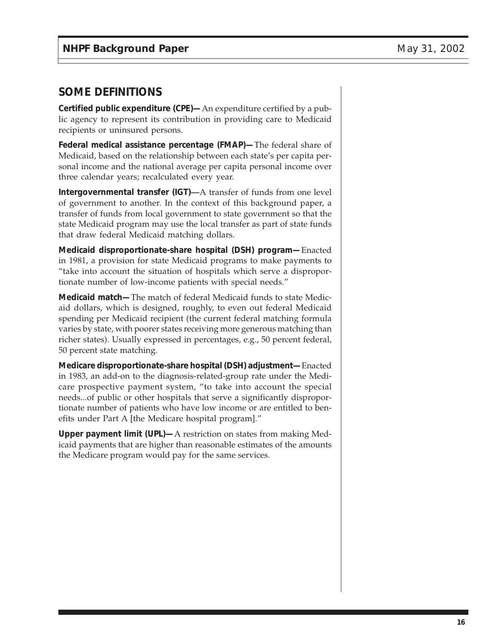### **SOME DEFINITIONS**

**Certified public expenditure (CPE)—**An expenditure certified by a public agency to represent its contribution in providing care to Medicaid recipients or uninsured persons.

**Federal medical assistance percentage (FMAP)—**The federal share of Medicaid, based on the relationship between each state's per capita personal income and the national average per capita personal income over three calendar years; recalculated every year.

**Intergovernmental transfer (IGT)—**A transfer of funds from one level of government to another. In the context of this background paper, a transfer of funds from local government to state government so that the state Medicaid program may use the local transfer as part of state funds that draw federal Medicaid matching dollars.

**Medicaid disproportionate-share hospital (DSH) program—**Enacted in 1981, a provision for state Medicaid programs to make payments to "take into account the situation of hospitals which serve a disproportionate number of low-income patients with special needs."

**Medicaid match—**The match of federal Medicaid funds to state Medicaid dollars, which is designed, roughly, to even out federal Medicaid spending per Medicaid recipient (the current federal matching formula varies by state, with poorer states receiving more generous matching than richer states). Usually expressed in percentages, e.g., 50 percent federal, 50 percent state matching.

**Medicare disproportionate-share hospital (DSH) adjustment—**Enacted in 1983, an add-on to the diagnosis-related-group rate under the Medicare prospective payment system, "to take into account the special needs...of public or other hospitals that serve a significantly disproportionate number of patients who have low income or are entitled to benefits under Part A [the Medicare hospital program]."

**Upper payment limit (UPL)—**A restriction on states from making Medicaid payments that are higher than reasonable estimates of the amounts the Medicare program would pay for the same services.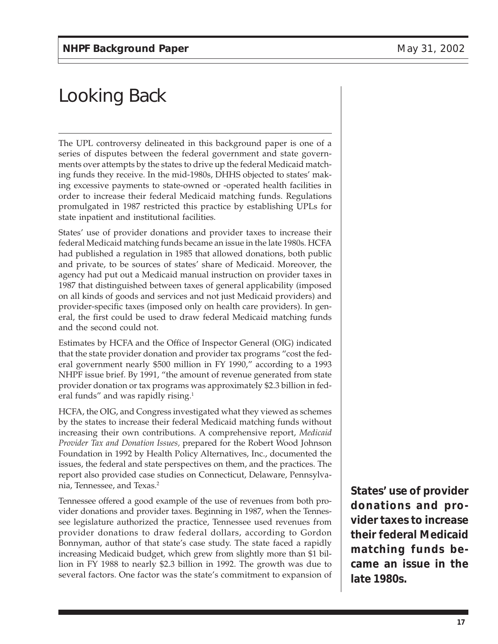# Looking Back

The UPL controversy delineated in this background paper is one of a series of disputes between the federal government and state governments over attempts by the states to drive up the federal Medicaid matching funds they receive. In the mid-1980s, DHHS objected to states' making excessive payments to state-owned or -operated health facilities in order to increase their federal Medicaid matching funds. Regulations promulgated in 1987 restricted this practice by establishing UPLs for state inpatient and institutional facilities.

States' use of provider donations and provider taxes to increase their federal Medicaid matching funds became an issue in the late 1980s. HCFA had published a regulation in 1985 that allowed donations, both public and private, to be sources of states' share of Medicaid. Moreover, the agency had put out a Medicaid manual instruction on provider taxes in 1987 that distinguished between taxes of general applicability (imposed on all kinds of goods and services and not just Medicaid providers) and provider-specific taxes (imposed only on health care providers). In general, the first could be used to draw federal Medicaid matching funds and the second could not.

Estimates by HCFA and the Office of Inspector General (OIG) indicated that the state provider donation and provider tax programs "cost the federal government nearly \$500 million in FY 1990," according to a 1993 NHPF issue brief. By 1991, "the amount of revenue generated from state provider donation or tax programs was approximately \$2.3 billion in federal funds" and was rapidly rising.<sup>1</sup>

HCFA, the OIG, and Congress investigated what they viewed as schemes by the states to increase their federal Medicaid matching funds without increasing their own contributions. A comprehensive report, *Medicaid Provider Tax and Donation Issues,* prepared for the Robert Wood Johnson Foundation in 1992 by Health Policy Alternatives, Inc., documented the issues, the federal and state perspectives on them, and the practices. The report also provided case studies on Connecticut, Delaware, Pennsylvania, Tennessee, and Texas.2

Tennessee offered a good example of the use of revenues from both provider donations and provider taxes. Beginning in 1987, when the Tennessee legislature authorized the practice, Tennessee used revenues from provider donations to draw federal dollars, according to Gordon Bonnyman, author of that state's case study. The state faced a rapidly increasing Medicaid budget, which grew from slightly more than \$1 billion in FY 1988 to nearly \$2.3 billion in 1992. The growth was due to several factors. One factor was the state's commitment to expansion of **States' use of provider donations and provider taxes to increase their federal Medicaid matching funds became an issue in the late 1980s.**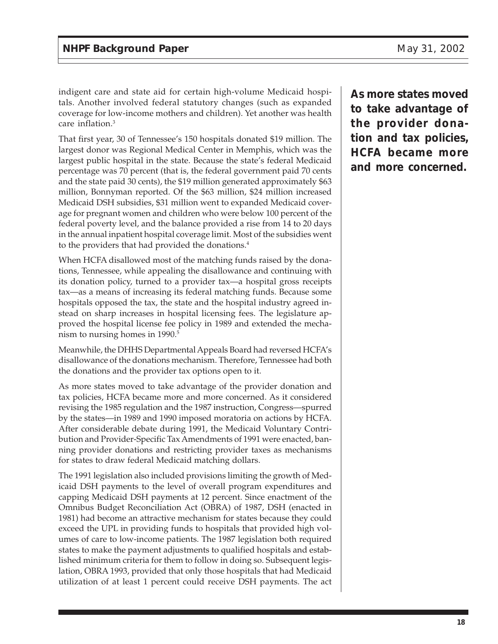indigent care and state aid for certain high-volume Medicaid hospitals. Another involved federal statutory changes (such as expanded coverage for low-income mothers and children). Yet another was health care inflation.3

That first year, 30 of Tennessee's 150 hospitals donated \$19 million. The largest donor was Regional Medical Center in Memphis, which was the largest public hospital in the state. Because the state's federal Medicaid percentage was 70 percent (that is, the federal government paid 70 cents and the state paid 30 cents), the \$19 million generated approximately \$63 million, Bonnyman reported. Of the \$63 million, \$24 million increased Medicaid DSH subsidies, \$31 million went to expanded Medicaid coverage for pregnant women and children who were below 100 percent of the federal poverty level, and the balance provided a rise from 14 to 20 days in the annual inpatient hospital coverage limit. Most of the subsidies went to the providers that had provided the donations.<sup>4</sup>

When HCFA disallowed most of the matching funds raised by the donations, Tennessee, while appealing the disallowance and continuing with its donation policy, turned to a provider tax—a hospital gross receipts tax—as a means of increasing its federal matching funds. Because some hospitals opposed the tax, the state and the hospital industry agreed instead on sharp increases in hospital licensing fees. The legislature approved the hospital license fee policy in 1989 and extended the mechanism to nursing homes in 1990.<sup>5</sup>

Meanwhile, the DHHS Departmental Appeals Board had reversed HCFA's disallowance of the donations mechanism. Therefore, Tennessee had both the donations and the provider tax options open to it.

As more states moved to take advantage of the provider donation and tax policies, HCFA became more and more concerned. As it considered revising the 1985 regulation and the 1987 instruction, Congress—spurred by the states—in 1989 and 1990 imposed moratoria on actions by HCFA. After considerable debate during 1991, the Medicaid Voluntary Contribution and Provider-Specific Tax Amendments of 1991 were enacted, banning provider donations and restricting provider taxes as mechanisms for states to draw federal Medicaid matching dollars.

The 1991 legislation also included provisions limiting the growth of Medicaid DSH payments to the level of overall program expenditures and capping Medicaid DSH payments at 12 percent. Since enactment of the Omnibus Budget Reconciliation Act (OBRA) of 1987, DSH (enacted in 1981) had become an attractive mechanism for states because they could exceed the UPL in providing funds to hospitals that provided high volumes of care to low-income patients. The 1987 legislation both required states to make the payment adjustments to qualified hospitals and established minimum criteria for them to follow in doing so. Subsequent legislation, OBRA 1993, provided that only those hospitals that had Medicaid utilization of at least 1 percent could receive DSH payments. The act **As more states moved to take advantage of the provider donation and tax policies, HCFA became more and more concerned.**